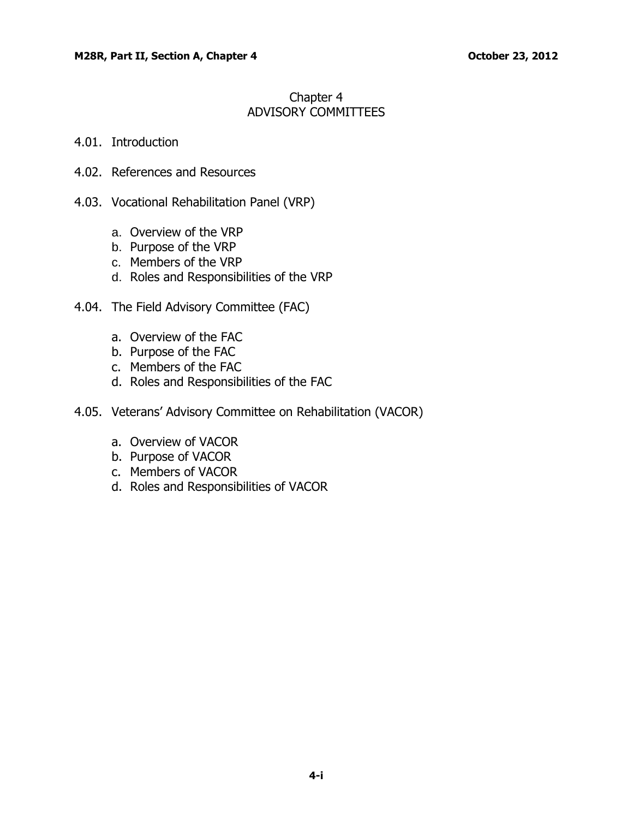# Chapter 4 ADVISORY COMMITTEES

## 4.01. [Introduction](#page-1-0)

- 4.02. [References and Resources](#page-1-0)
- 4.03. [Vocational Rehabilitation Panel \(VRP\)](#page-1-0)
	- a. Overview [of the VRP](#page-1-0)
	- b. [Purpose of the VRP](#page-1-0)
	- c. [Members of the VRP](#page-2-0)
	- d. [Roles and Responsibilities of the VRP](#page-2-0)
- 4.04. The Field Advisory Committee (FAC)
	- a. [Overview of the FAC](#page-3-0)
	- b. [Purpose of the FAC](#page-3-0)
	- c. [Members of the FAC](#page-3-0)
	- d. [Roles and Responsibilities of the FAC](#page-3-0)
- 4.05. [Veterans' Advisory Committee on Rehabilitation \(VACOR\)](#page-4-0)
	- a. [Overview of VACOR](#page-4-0)
	- b. [Purpose of VACOR](#page-4-0)
	- c. [Members of VACOR](#page-4-0)
	- d. [Roles and Responsibilities of VACOR](#page-5-0)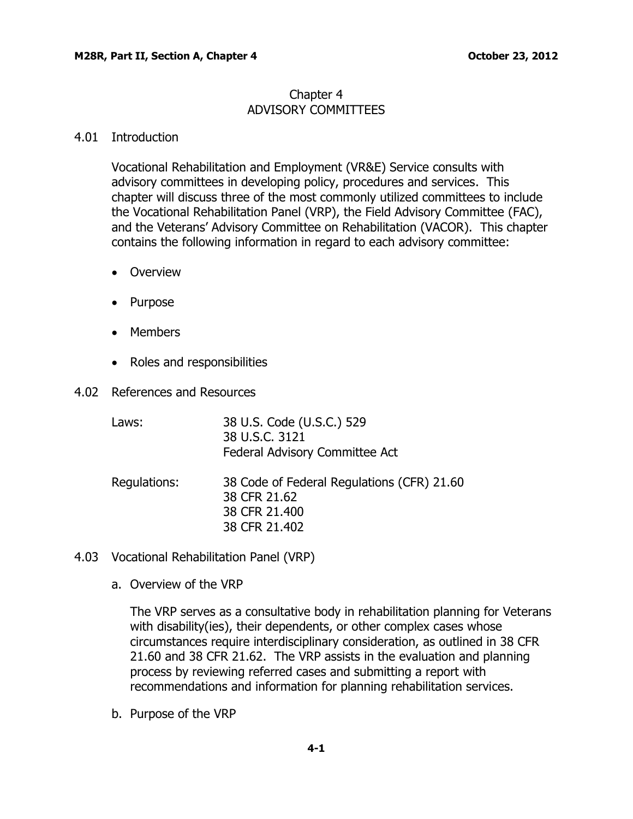## Chapter 4 ADVISORY COMMITTEES

## <span id="page-1-0"></span>4.01 Introduction

Vocational Rehabilitation and Employment (VR&E) Service consults with advisory committees in developing policy, procedures and services. This chapter will discuss three of the most commonly utilized committees to include the Vocational Rehabilitation Panel (VRP), the Field Advisory Committee (FAC), and the Veterans' Advisory Committee on Rehabilitation (VACOR). This chapter contains the following information in regard to each advisory committee:

- Overview
- Purpose
- Members
- Roles and responsibilities
- 4.02 References and Resources

| Laws:        | 38 U.S. Code (U.S.C.) 529<br>38 U.S.C. 3121<br>Federal Advisory Committee Act                |
|--------------|----------------------------------------------------------------------------------------------|
| Regulations: | 38 Code of Federal Regulations (CFR) 21.60<br>38 CFR 21.62<br>38 CFR 21.400<br>38 CFR 21,402 |

- 4.03 Vocational Rehabilitation Panel (VRP)
	- a. Overview of the VRP

The VRP serves as a consultative body in rehabilitation planning for Veterans with disability (ies), their dependents, or other complex cases whose circumstances require interdisciplinary consideration, as outlined in 38 CFR 21.60 and 38 CFR 21.62. The VRP assists in the evaluation and planning process by reviewing referred cases and submitting a report with recommendations and information for planning rehabilitation services.

b. Purpose of the VRP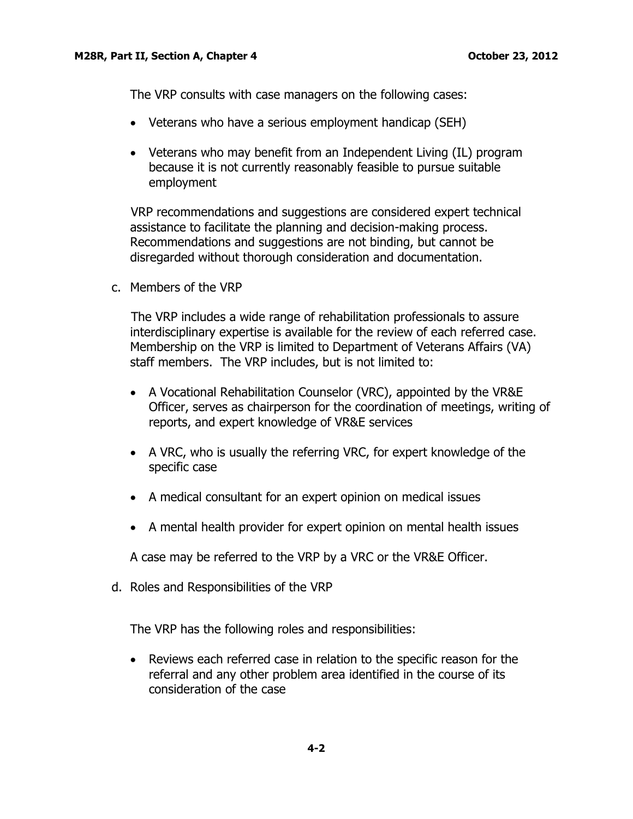<span id="page-2-0"></span>The VRP consults with case managers on the following cases:

- Veterans who have a serious employment handicap (SEH)
- Veterans who may benefit from an Independent Living (IL) program because it is not currently reasonably feasible to pursue suitable employment

 VRP recommendations and suggestions are considered expert technical assistance to facilitate the planning and decision-making process. Recommendations and suggestions are not binding, but cannot be disregarded without thorough consideration and documentation.

c. Members of the VRP

 The VRP includes a wide range of rehabilitation professionals to assure interdisciplinary expertise is available for the review of each referred case. Membership on the VRP is limited to Department of Veterans Affairs (VA) staff members. The VRP includes, but is not limited to:

- A Vocational Rehabilitation Counselor (VRC), appointed by the VR&E Officer, serves as chairperson for the coordination of meetings, writing of reports, and expert knowledge of VR&E services
- A VRC, who is usually the referring VRC, for expert knowledge of the specific case
- A medical consultant for an expert opinion on medical issues
- A mental health provider for expert opinion on mental health issues

A case may be referred to the VRP by a VRC or the VR&E Officer.

d. Roles and Responsibilities of the VRP

The VRP has the following roles and responsibilities:

 Reviews each referred case in relation to the specific reason for the referral and any other problem area identified in the course of its consideration of the case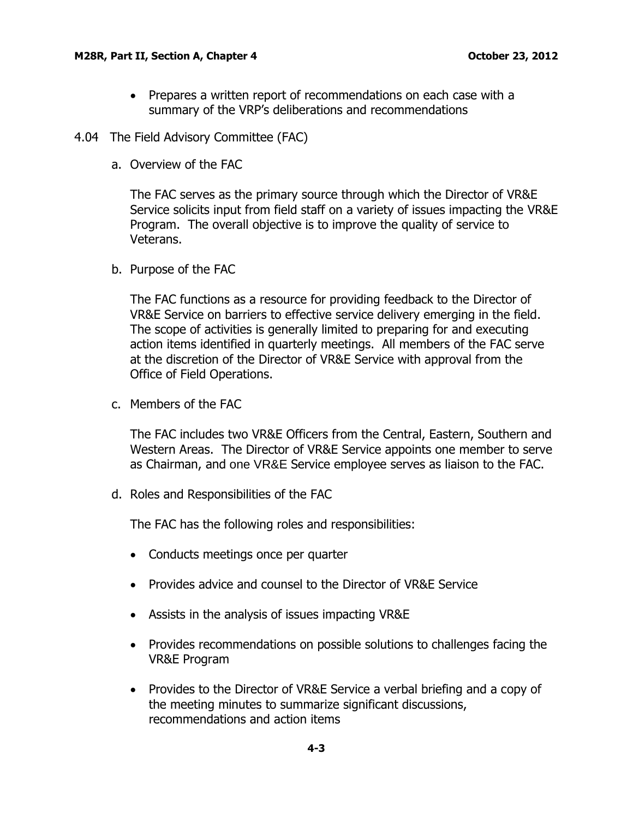#### <span id="page-3-0"></span>**M28R, Part II, Section A, Chapter 4 Development Controller 12, 2012**

• Prepares a written report of recommendations on each case with a summary of the VRP's deliberations and recommendations

#### 4.04 The Field Advisory Committee (FAC)

a. Overview of the FAC

The FAC serves as the primary source through which the Director of VR&E Service solicits input from field staff on a variety of issues impacting the VR&E Program. The overall objective is to improve the quality of service to Veterans.

b. Purpose of the FAC

The FAC functions as a resource for providing feedback to the Director of VR&E Service on barriers to effective service delivery emerging in the field. The scope of activities is generally limited to preparing for and executing action items identified in quarterly meetings. All members of the FAC serve at the discretion of the Director of VR&E Service with approval from the Office of Field Operations.

c. Members of the FAC

The FAC includes two VR&E Officers from the Central, Eastern, Southern and Western Areas. The Director of VR&E Service appoints one member to serve as Chairman, and one VR&E Service employee serves as liaison to the FAC.

d. Roles and Responsibilities of the FAC

The FAC has the following roles and responsibilities:

- Conducts meetings once per quarter
- Provides advice and counsel to the Director of VR&E Service
- Assists in the analysis of issues impacting VR&E
- Provides recommendations on possible solutions to challenges facing the VR&E Program
- Provides to the Director of VR&E Service a verbal briefing and a copy of the meeting minutes to summarize significant discussions, recommendations and action items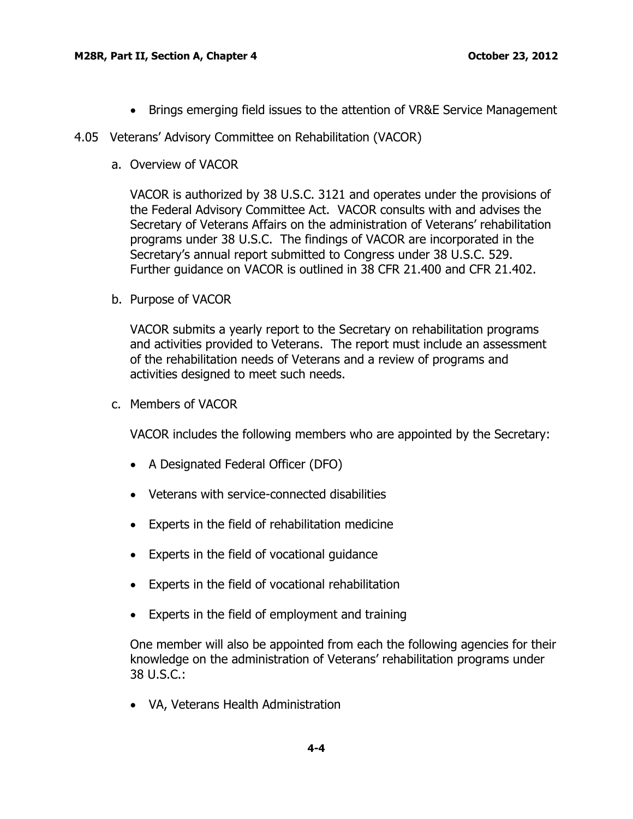- Brings emerging field issues to the attention of VR&E Service Management
- <span id="page-4-0"></span>4.05 Veterans' Advisory Committee on Rehabilitation (VACOR)
	- a. Overview of VACOR

VACOR is authorized by [38 U.S.C. 3121](http://www.law.cornell.edu/uscode/38/usc_sec_38_00003121----000-.html) and operates under the provisions of the Federal Advisory Committee Act. VACOR consults with and advises the Secretary of Veterans Affairs on the administration of Veterans' rehabilitation programs under 38 U.S.C. The findings of VACOR are incorporated in the Secretary's annual report submitted to Congress under 38 U.S.C. 529. Further guidance on VACOR is outlined in 38 CFR 21.400 and CFR 21.402.

b. Purpose of VACOR

VACOR submits a yearly report to the Secretary on rehabilitation programs and activities provided to Veterans. The report must include an assessment of the rehabilitation needs of Veterans and a review of programs and activities designed to meet such needs.

c. Members of VACOR

VACOR includes the following members who are appointed by the Secretary:

- A Designated Federal Officer (DFO)
- Veterans with service-connected disabilities
- Experts in the field of rehabilitation medicine
- Experts in the field of vocational guidance
- Experts in the field of vocational rehabilitation
- Experts in the field of employment and training

One member will also be appointed from each the following agencies for their knowledge on the administration of Veterans' rehabilitation programs under 38 U.S.C.:

VA, Veterans Health Administration